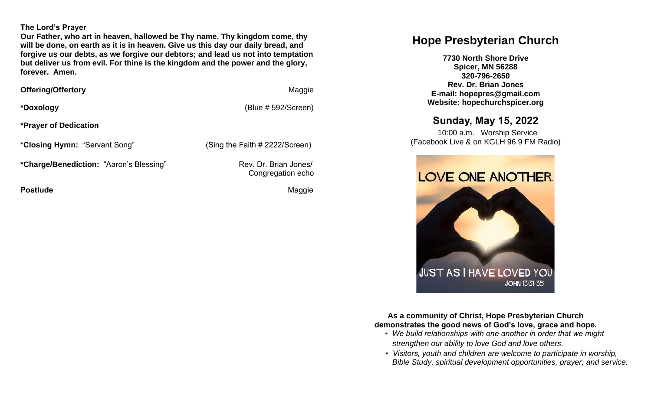#### **The Lord's Prayer**

**Our Father, who art in heaven, hallowed be Thy name. Thy kingdom come, thy will be done, on earth as it is in heaven. Give us this day our daily bread, and forgive us our debts, as we forgive our debtors; and lead us not into temptation but deliver us from evil. For thine is the kingdom and the power and the glory, forever. Amen.** 

**Offering/Offertory Maggie Maggie Maggie Maggie** 

**\*Doxology** (Blue # 592/Screen)

Congregation echo

**\*Prayer of Dedication**

**\*Closing Hymn:** "Servant Song" (Sing the Faith # 2222/Screen)

\*Charge/Benediction: "Aaron's Blessing" Rev. Dr. Brian Jones/

**Postlude Contract Contract Contract Contract Contract Contract Contract Contract Contract Contract Contract Contract Contract Contract Contract Contract Contract Contract Contract Contract Contract Contract Contract Contr** 

# **Hope Presbyterian Church**

**7730 North Shore Drive Spicer, MN 56288 320-796-2650 Rev. Dr. Brian Jones E-mail: hopepres@gmail.com Website: hopechurchspicer.org**

# **Sunday, May 15, 2022**

 10:00 a.m. Worship Service (Facebook Live & on KGLH 96.9 FM Radio)



**As a community of Christ, Hope Presbyterian Church demonstrates the good news of God's love, grace and hope.**

- *We build relationships with one another in order that we might strengthen our ability to love God and love others.*
- *Visitors, youth and children are welcome to participate in worship, Bible Study, spiritual development opportunities, prayer, and service.*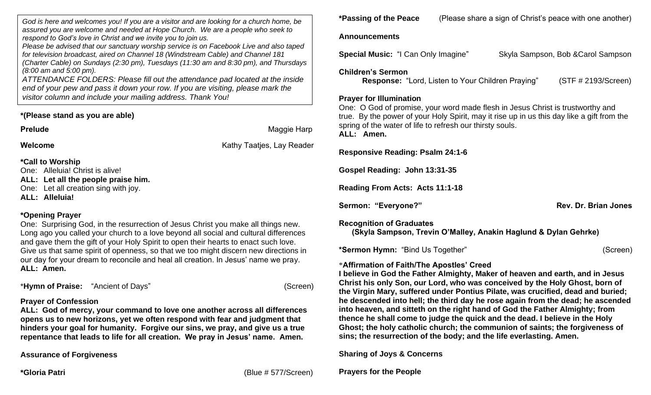*God is here and welcomes you! If you are a visitor and are looking for a church home, be assured you are welcome and needed at Hope Church. We are a people who seek to respond to God's love in Christ and we invite you to join us.*

*Please be advised that our sanctuary worship service is on Facebook Live and also taped for television broadcast, aired on Channel 18 (Windstream Cable) and Channel 181 (Charter Cable) on Sundays (2:30 pm), Tuesdays (11:30 am and 8:30 pm), and Thursdays (8:00 am and 5:00 pm).*

*ATTENDANCE FOLDERS: Please fill out the attendance pad located at the inside end of your pew and pass it down your row. If you are visiting, please mark the visitor column and include your mailing address. Thank You!*

### **\*(Please stand as you are able)**

**Prelude** Maggie Harp

**Welcome Welcome Kathy Taatjes, Lay Reader Kathy Taatjes**, Lay Reader

## **\*Call to Worship**

One: Alleluia! Christ is alive!

**ALL: Let all the people praise him.** 

One: Let all creation sing with joy.

**ALL: Alleluia!**

# **\*Opening Prayer**

One: Surprising God, in the resurrection of Jesus Christ you make all things new. Long ago you called your church to a love beyond all social and cultural differences and gave them the gift of your Holy Spirit to open their hearts to enact such love. Give us that same spirit of openness, so that we too might discern new directions in our day for your dream to reconcile and heal all creation. In Jesus' name we pray. **ALL: Amen.**

\***Hymn of Praise:** "Ancient of Days" (Screen)

# **Prayer of Confession**

**ALL: God of mercy, your command to love one another across all differences opens us to new horizons, yet we often respond with fear and judgment that hinders your goal for humanity. Forgive our sins, we pray, and give us a true repentance that leads to life for all creation. We pray in Jesus' name. Amen.** 

**Assurance of Forgiveness**

**\*Gloria Patri** (Blue # 577/Screen)

**\*Passing of the Peace** (Please share a sign of Christ's peace with one another)

### **Announcements**

**Special Music:** "I Can Only Imagine" Skyla Sampson, Bob &Carol Sampson

### **Children's Sermon**

 **Response:** "Lord, Listen to Your Children Praying" (STF # 2193/Screen)

### **Prayer for Illumination**

One: O God of promise, your word made flesh in Jesus Christ is trustworthy and true. By the power of your Holy Spirit, may it rise up in us this day like a gift from the spring of the water of life to refresh our thirsty souls. **ALL: Amen.**

**Responsive Reading: Psalm 24:1-6**

**Gospel Reading: John 13:31-35**

**Reading From Acts: Acts 11:1-18**

Sermon: "Everyone?" and a sermon: "Everyone" and a sermon: "Everyone?" and a sermon: "Rev. Dr. Brian Jones

**Recognition of Graduates**

 **(Skyla Sampson, Trevin O'Malley, Anakin Haglund & Dylan Gehrke)**

**\*Sermon Hymn:** "Bind Us Together" (Screen)

# \***Affirmation of Faith/The Apostles' Creed**

**I believe in God the Father Almighty, Maker of heaven and earth, and in Jesus Christ his only Son, our Lord, who was conceived by the Holy Ghost, born of the Virgin Mary, suffered under Pontius Pilate, was crucified, dead and buried; he descended into hell; the third day he rose again from the dead; he ascended into heaven, and sitteth on the right hand of God the Father Almighty; from thence he shall come to judge the quick and the dead. I believe in the Holy Ghost; the holy catholic church; the communion of saints; the forgiveness of sins; the resurrection of the body; and the life everlasting. Amen.**

**Sharing of Joys & Concerns**

**Prayers for the People**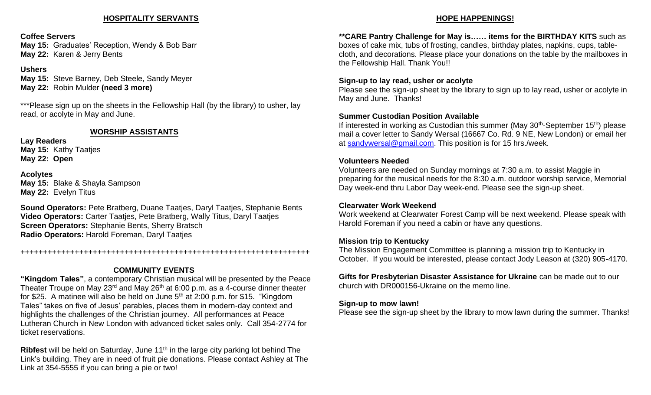#### **HOSPITALITY SERVANTS**

#### **Coffee Servers**

**May 15:** Graduates' Reception, Wendy & Bob Barr **May 22:** Karen & Jerry Bents

#### **Ushers**

**May 15:** Steve Barney, Deb Steele, Sandy Meyer **May 22:** Robin Mulder **(need 3 more)**

\*\*\*Please sign up on the sheets in the Fellowship Hall (by the library) to usher, lay read, or acolyte in May and June.

#### **WORSHIP ASSISTANTS**

**Lay Readers May 15:** Kathy Taatjes **May 22: Open**

**Acolytes May 15:** Blake & Shayla Sampson **May 22:** Evelyn Titus

**Sound Operators:** Pete Bratberg, Duane Taatjes, Daryl Taatjes, Stephanie Bents **Video Operators:** Carter Taatjes, Pete Bratberg, Wally Titus, Daryl Taatjes **Screen Operators:** Stephanie Bents, Sherry Bratsch **Radio Operators:** Harold Foreman, Daryl Taatjes

++++++++++++++++++++++++++++++++++++++++++++++++++++++++++++++++

### **COMMUNITY EVENTS**

**"Kingdom Tales"**, a contemporary Christian musical will be presented by the Peace Theater Troupe on May 23<sup>rd</sup> and May 26<sup>th</sup> at 6:00 p.m. as a 4-course dinner theater for \$25. A matinee will also be held on June  $5<sup>th</sup>$  at 2:00 p.m. for \$15. "Kingdom Tales" takes on five of Jesus' parables, places them in modern-day context and highlights the challenges of the Christian journey. All performances at Peace Lutheran Church in New London with advanced ticket sales only. Call 354-2774 for ticket reservations.

**Ribfest** will be held on Saturday, June 11<sup>th</sup> in the large city parking lot behind The Link's building. They are in need of fruit pie donations. Please contact Ashley at The Link at 354-5555 if you can bring a pie or two!

#### **HOPE HAPPENINGS!**

**\*\*CARE Pantry Challenge for May is…… items for the BIRTHDAY KITS** such as boxes of cake mix, tubs of frosting, candles, birthday plates, napkins, cups, tablecloth, and decorations. Please place your donations on the table by the mailboxes in the Fellowship Hall. Thank You!!

#### **Sign-up to lay read, usher or acolyte**

Please see the sign-up sheet by the library to sign up to lay read, usher or acolyte in May and June. Thanks!

#### **Summer Custodian Position Available**

If interested in working as Custodian this summer (May 30<sup>th</sup>-September 15<sup>th</sup>) please mail a cover letter to Sandy Wersal (16667 Co. Rd. 9 NE, New London) or email her at [sandywersal@gmail.com.](mailto:sandywersal@gmail.com) This position is for 15 hrs./week.

#### **Volunteers Needed**

Volunteers are needed on Sunday mornings at 7:30 a.m. to assist Maggie in preparing for the musical needs for the 8:30 a.m. outdoor worship service, Memorial Day week-end thru Labor Day week-end. Please see the sign-up sheet.

#### **Clearwater Work Weekend**

Work weekend at Clearwater Forest Camp will be next weekend. Please speak with Harold Foreman if you need a cabin or have any questions.

#### **Mission trip to Kentucky**

The Mission Engagement Committee is planning a mission trip to Kentucky in October. If you would be interested, please contact Jody Leason at (320) 905-4170.

**Gifts for Presbyterian Disaster Assistance for Ukraine** can be made out to our church with DR000156-Ukraine on the memo line.

#### **Sign-up to mow lawn!**

Please see the sign-up sheet by the library to mow lawn during the summer. Thanks!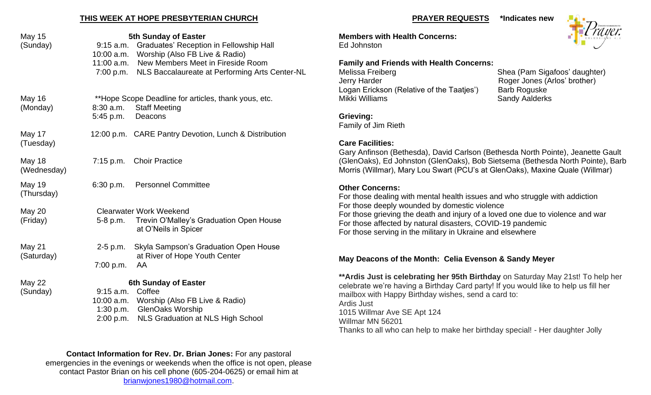#### **THIS WEEK AT HOPE PRESBYTERIAN CHURCH**

| May 15<br>(Sunday)           | $9:15$ a.m.<br>10:00 a.m.<br>11:00 a.m.<br>7:00 p.m. | <b>5th Sunday of Easter</b><br><b>Graduates' Reception in Fellowship Hall</b><br>Worship (Also FB Live & Radio)<br>New Members Meet in Fireside Room<br>NLS Baccalaureate at Performing Arts Center-NL |
|------------------------------|------------------------------------------------------|--------------------------------------------------------------------------------------------------------------------------------------------------------------------------------------------------------|
| <b>May 16</b><br>(Monday)    | 8:30 a.m.<br>5:45 p.m.                               | **Hope Scope Deadline for articles, thank yous, etc.<br><b>Staff Meeting</b><br>Deacons                                                                                                                |
| May 17<br>(Tuesday)          |                                                      | 12:00 p.m. CARE Pantry Devotion, Lunch & Distribution                                                                                                                                                  |
| <b>May 18</b><br>(Wednesday) |                                                      | 7:15 p.m. Choir Practice                                                                                                                                                                               |
| <b>May 19</b><br>(Thursday)  | 6:30 p.m.                                            | <b>Personnel Committee</b>                                                                                                                                                                             |
| <b>May 20</b><br>(Friday)    | 5-8 p.m.                                             | <b>Clearwater Work Weekend</b><br>Trevin O'Malley's Graduation Open House<br>at O'Neils in Spicer                                                                                                      |
| May 21<br>(Saturday)         | $2-5$ p.m.<br>7:00 p.m.                              | Skyla Sampson's Graduation Open House<br>at River of Hope Youth Center<br>AA                                                                                                                           |
| <b>May 22</b><br>(Sunday)    | $9:15$ a.m.<br>10:00 a.m.<br>1:30 p.m.<br>2:00 p.m.  | <b>6th Sunday of Easter</b><br>Coffee<br>Worship (Also FB Live & Radio)<br><b>GlenOaks Worship</b><br><b>NLS Graduation at NLS High School</b>                                                         |

**Contact Information for Rev. Dr. Brian Jones:** For any pastoral emergencies in the evenings or weekends when the office is not open, please contact Pastor Brian on his cell phone (605-204-0625) or email him at [brianwjones1980@hotmail.com.](mailto:brianwjones1980@hotmail.com)

#### **PRAYER REQUESTS \*Indicates new**

**Members with Health Concerns:** Ed Johnston

## **Family and Friends with Health Concerns:** Melissa Freiberg Shea (Pam Sigafoos' daughter) Jerry Harder **Network Roger Jones (Arlos' brother)**

Logan Erickson (Relative of the Taatjes') Barb Roguske<br>Mikki Williams Bandy Aalderks Sandy Aalderks

### **Grieving:**

Family of Jim Rieth

## **Care Facilities:**

Gary Anfinson (Bethesda), David Carlson (Bethesda North Pointe), Jeanette Gault (GlenOaks), Ed Johnston (GlenOaks), Bob Sietsema (Bethesda North Pointe), Barb Morris (Willmar), Mary Lou Swart (PCU's at GlenOaks), Maxine Quale (Willmar)

### **Other Concerns:**

For those dealing with mental health issues and who struggle with addiction For those deeply wounded by domestic violence For those grieving the death and injury of a loved one due to violence and war For those affected by natural disasters, COVID-19 pandemic For those serving in the military in Ukraine and elsewhere

# **May Deacons of the Month: Celia Evenson & Sandy Meyer**

**\*\*Ardis Just is celebrating her 95th Birthday** on Saturday May 21st! To help her celebrate we're having a Birthday Card party! If you would like to help us fill her mailbox with Happy Birthday wishes, send a card to: Ardis Just 1015 Willmar Ave SE Apt 124 Willmar MN 56201 Thanks to all who can help to make her birthday special! - Her daughter Jolly